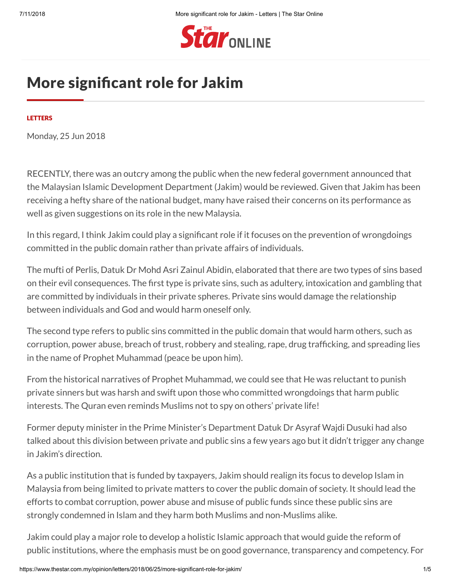

# More significant role for Jakim

### **[LETTERS](https://www.thestar.com.my/opinion/letters)**

Monday, 25 Jun 2018

RECENTLY, there was an outcry among the public when the new federal government announced that the Malaysian Islamic Development Department (Jakim) would be reviewed. Given that Jakim has been receiving a hefty share of the national budget, many have raised their concerns on its performance as well as given suggestions on its role in the new Malaysia.

In this regard, I think Jakim could play a significant role if it focuses on the prevention of wrongdoings committed in the public domain rather than private affairs of individuals.

The mufti of Perlis, Datuk Dr Mohd Asri Zainul Abidin, elaborated that there are two types of sins based on their evil consequences. The first type is private sins, such as adultery, intoxication and gambling that are committed by individuals in their private spheres. Private sins would damage the relationship between individuals and God and would harm oneself only.

The second type refers to public sins committed in the public domain that would harm others, such as corruption, power abuse, breach of trust, robbery and stealing, rape, drug trafficking, and spreading lies in the name of Prophet Muhammad (peace be upon him).

From the historical narratives of Prophet Muhammad, we could see that He was reluctant to punish private sinners but was harsh and swift upon those who committed wrongdoings that harm public interests. The Quran even reminds Muslims not to spy on others' private life!

Former deputy minister in the Prime Minister's Department Datuk Dr Asyraf Wajdi Dusuki had also talked about this division between private and public sins a few years ago but it didn't trigger any change in Jakim's direction.

As a public institution that is funded by taxpayers, Jakim should realign its focus to develop Islam in Malaysia from being limited to private matters to cover the public domain of society. It should lead the efforts to combat corruption, power abuse and misuse of public funds since these public sins are strongly condemned in Islam and they harm both Muslims and non-Muslims alike.

Jakim could play a major role to develop a holistic Islamic approach that would guide the reform of public institutions, where the emphasis must be on good governance, transparency and competency. For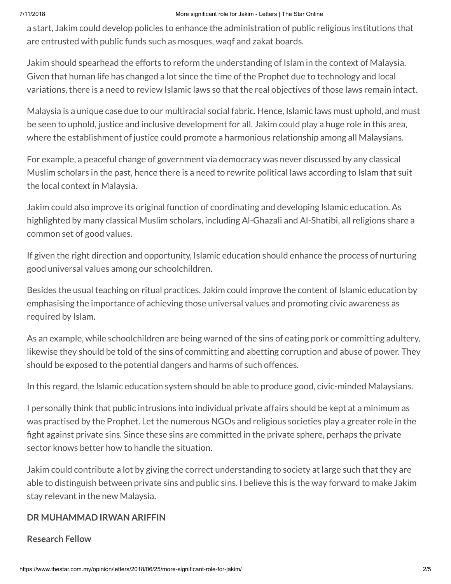### 7/11/2018 More significant role for Jakim - Letters | The Star Online

a start, Jakim could develop policies to enhance the administration of public religious institutions that are entrusted with public funds such as mosques, waqf and zakat boards.

Jakim should spearhead the efforts to reform the understanding of Islam in the context of Malaysia. Given that human life has changed a lot since the time of the Prophet due to technology and local variations, there is a need to review Islamic laws so that the real objectives of those laws remain intact.

Malaysia is a unique case due to our multiracial social fabric. Hence, Islamic laws must uphold, and must be seen to uphold, justice and inclusive development for all. Jakim could play a huge role in this area, where the establishment of justice could promote a harmonious relationship among all Malaysians.

For example, a peaceful change of government via democracy was never discussed by any classical Muslim scholars in the past, hence there is a need to rewrite political laws according to Islam that suit the local context in Malaysia.

Jakim could also improve its original function of coordinating and developing Islamic education. As highlighted by many classical Muslim scholars, including Al-Ghazali and Al-Shatibi, all religions share a common set of good values.

If given the right direction and opportunity, Islamic education should enhance the process of nurturing good universal values among our schoolchildren.

Besides the usual teaching on ritual practices, Jakim could improve the content of Islamic education by emphasising the importance of achieving those universal values and promoting civic awareness as required by Islam.

As an example, while schoolchildren are being warned of the sins of eating pork or committing adultery, likewise they should be told of the sins of committing and abetting corruption and abuse of power. They should be exposed to the potential dangers and harms of such offences.

In this regard, the Islamic education system should be able to produce good, civic-minded Malaysians.

I personally think that public intrusions into individual private affairs should be kept at a minimum as was practised by the Prophet. Let the numerous NGOs and religious societies play a greater role in the fight against private sins. Since these sins are committed in the private sphere, perhaps the private sector knows better how to handle the situation.

Jakim could contribute a lot by giving the correct understanding to society at large such that they are able to distinguish between private sins and public sins. I believe this is the way forward to make Jakim stay relevant in the new Malaysia.

## **DR MUHAMMAD IRWAN ARIFFIN**

### **Research Fellow**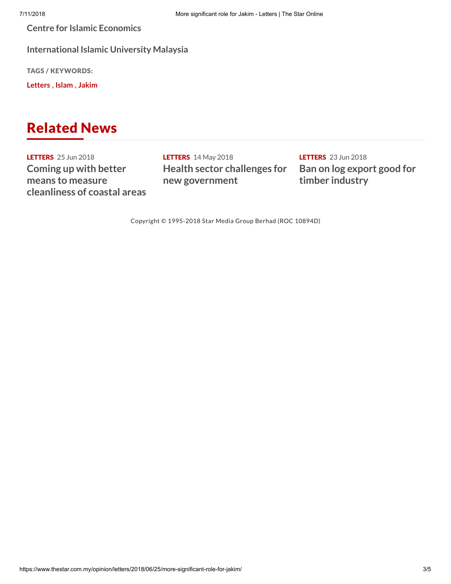**Centre for Islamic Economics**

**International Islamic University Malaysia**

TAGS / KEYWORDS:

**[Letters](https://www.thestar.com.my/Search?q=%22Letters%22&qkey=Letters)** , **[Islam](https://www.thestar.com.my/Search?q=%22Islam%22&qkey=Islam)** , **[Jakim](https://www.thestar.com.my/Search?q=%22Jakim%22&qkey=Jakim)**

# Related News

**[LETTERS](https://www.thestar.com.my/opinion/letters)** 25 Jun 2018 **Coming up with better means to measure [cleanliness](https://www.thestar.com.my/opinion/letters/2018/06/25/coming-up-with-better-means-to-measure-cleanliness-of-coastal-areas/) of coastal areas**

[LETTERS](https://www.thestar.com.my/opinion/letters) 14 May 2018 **Health sector challenges for new [government](https://www.thestar.com.my/opinion/letters/2018/05/14/health-sector-challenges-for-new-government/)**

**[LETTERS](https://www.thestar.com.my/opinion/letters)** 23 Jun 2018 **Ban on log export good for timber [industry](https://www.thestar.com.my/opinion/letters/2018/06/23/ban-on-log-export-good-for-timber-industry/)**

Copyright © 1995-2018 Star Media Group Berhad (ROC 10894D)